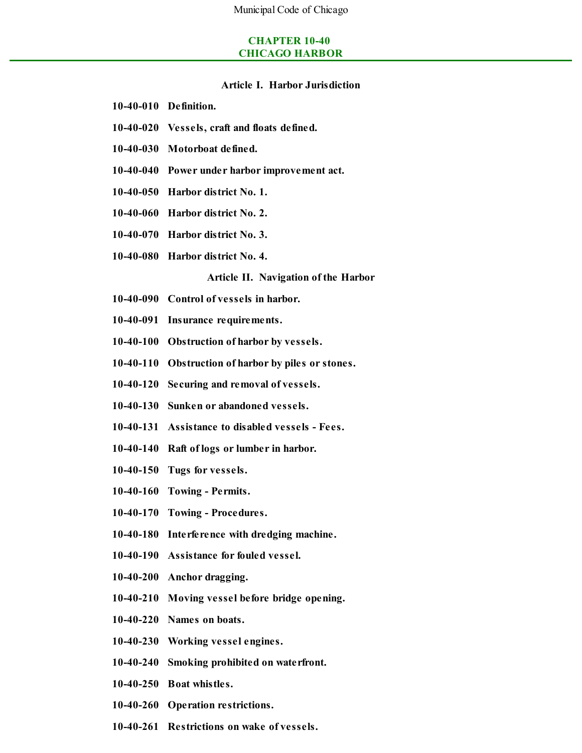## **CHAPTER 10-40 CHICAGO HARBOR**

### **Article I. Harbor Jurisdiction**

- **10-40-010 Definition.**
- **10-40-020 Vessels, craft and floats defined.**
- **10-40-030 Motorboat defined.**
- **10-40-040 Power under harbor improvement act.**
- **10-40-050 Harbor district No. 1.**
- **10-40-060 Harbor district No. 2.**
- **10-40-070 Harbor district No. 3.**
- **10-40-080 Harbor district No. 4.**

#### **Article II. Navigation of the Harbor**

- **10-40-090 Control of vessels in harbor.**
- **10-40-091 Insurance requirements.**
- **10-40-100 Obstruction of harbor by vessels.**
- **10-40-110 Obstruction of harbor by piles or stones.**
- **10-40-120 Securing and removal of vessels.**
- **10-40-130 Sunken or abandoned vessels.**
- **10-40-131 Assistance to disabled vessels - Fees.**
- **10-40-140 Raft of logs or lumber in harbor.**
- **10-40-150 Tugs for vessels.**
- **10-40-160 Towing - Permits.**
- **10-40-170 Towing - Procedures.**
- **10-40-180 Interference with dredging machine.**
- **10-40-190 Assistance for fouled vessel.**
- **10-40-200 Anchor dragging.**
- **10-40-210 Moving vessel before bridge opening.**
- **10-40-220 Names on boats.**
- **10-40-230 Working vessel engines.**
- **10-40-240 Smoking prohibited on waterfront.**
- **10-40-250 Boat whistles.**
- **10-40-260 Operation restrictions.**
- **10-40-261 Restrictions on wake of vessels.**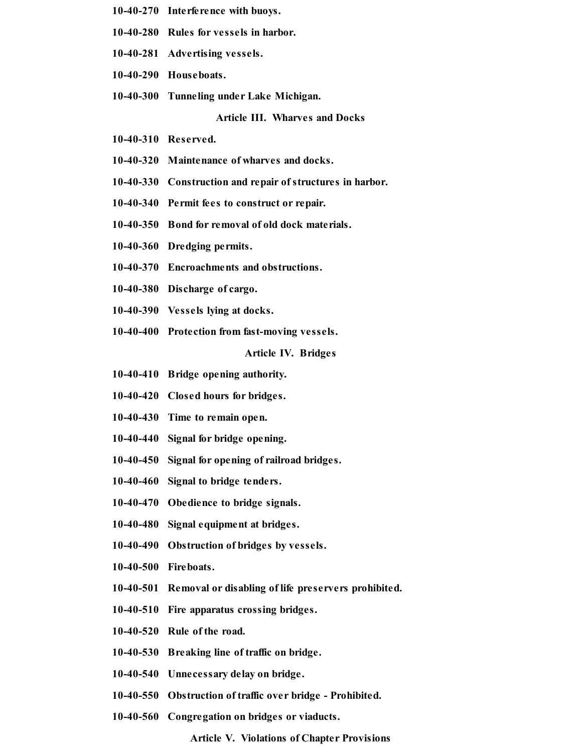- **10-40-270 Interference with buoys.**
- **10-40-280 Rules for vessels in harbor.**
- **10-40-281 Advertising vessels.**
- **10-40-290 Houseboats.**
- **10-40-300 Tunneling under Lake Michigan.**

**Article III. Wharves and Docks**

- **10-40-310 Reserved.**
- **10-40-320 Maintenance of wharves and docks.**
- **10-40-330 Construction and repair of structures in harbor.**
- **10-40-340 Permit fees to construct or repair.**
- **10-40-350 Bond for removal of old dock materials.**
- **10-40-360 Dredging permits.**
- **10-40-370 Encroachments and obstructions.**
- **10-40-380 Discharge of cargo.**
- **10-40-390 Vessels lying at docks.**
- **10-40-400 Protection from fast-moving vessels.**

**Article IV. Bridges**

- **10-40-410 Bridge opening authority.**
- **10-40-420 Closed hours for bridges.**
- **10-40-430 Time to remain open.**
- **10-40-440 Signal for bridge opening.**
- **10-40-450 Signal for opening of railroad bridges.**
- **10-40-460 Signal to bridge tenders.**
- **10-40-470 Obedience to bridge signals.**
- **10-40-480 Signal equipment at bridges.**
- **10-40-490 Obstruction of bridges by vessels.**
- **10-40-500 Fireboats.**
- **10-40-501 Removal or disabling of life preservers prohibited.**
- **10-40-510 Fire apparatus crossing bridges.**
- **10-40-520 Rule of the road.**
- **10-40-530 Breaking line of traffic on bridge.**
- **10-40-540 Unnecessary delay on bridge.**
- **10-40-550 Obstruction of traffic over bridge - Prohibited.**
- **10-40-560 Congregation on bridges or viaducts.**

**Article V. Violations of Chapter Provisions**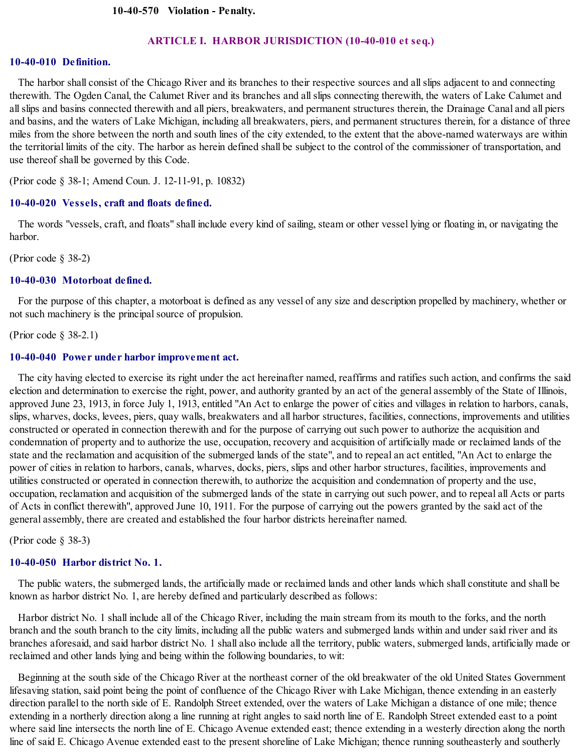#### **ARTICLE I. HARBOR JURISDICTION (10-40-010 et seq.)**

### **10-40-010 Definition.**

The harbor shall consist of the Chicago River and its branches to their respective sources and allslips adjacent to and connecting therewith. The Ogden Canal, the Calumet River and its branches and allslips connecting therewith, the waters of Lake Calumet and allslips and basins connected therewith and all piers, breakwaters, and permanent structures therein, the Drainage Canal and all piers and basins, and the waters of Lake Michigan, including all breakwaters, piers, and permanent structures therein, for a distance of three miles from the shore between the north and south lines of the city extended, to the extent that the above-named waterways are within the territorial limits of the city. The harbor as herein defined shall be subject to the control of the commissioner of transportation, and use thereof shall be governed by this Code.

(Prior code § 38-1; Amend Coun. J. 12-11-91, p. 10832)

#### **10-40-020 Vessels, craft and floats defined.**

The words "vessels, craft, and floats" shall include every kind of sailing, steam or other vessel lying or floating in, or navigating the harbor.

(Prior code § 38-2)

#### **10-40-030 Motorboat defined.**

For the purpose of this chapter, a motorboat is defined as any vessel of any size and description propelled by machinery, whether or not such machinery is the principalsource of propulsion.

(Prior code § 38-2.1)

#### **10-40-040 Power under harbor improvement act.**

The city having elected to exercise its right under the act hereinafter named, reaffirms and ratifies such action, and confirms the said election and determination to exercise the right, power, and authority granted by an act of the general assembly of the State of Illinois, approved June 23, 1913, in force July 1, 1913, entitled "An Act to enlarge the power of cities and villages in relation to harbors, canals, slips, wharves, docks, levees, piers, quay walls, breakwaters and all harbor structures, facilities, connections, improvements and utilities constructed or operated in connection therewith and for the purpose of carrying out such power to authorize the acquisition and condemnation of property and to authorize the use, occupation, recovery and acquisition of artificially made or reclaimed lands of the state and the reclamation and acquisition of the submerged lands of the state", and to repeal an act entitled, "An Act to enlarge the power of cities in relation to harbors, canals, wharves, docks, piers, slips and other harbor structures, facilities, improvements and utilities constructed or operated in connection therewith, to authorize the acquisition and condemnation of property and the use, occupation, reclamation and acquisition of the submerged lands of the state in carrying out such power, and to repeal all Acts or parts of Acts in conflict therewith", approved June 10, 1911. For the purpose of carrying out the powers granted by the said act of the general assembly, there are created and established the four harbor districts hereinafter named.

(Prior code § 38-3)

### **10-40-050 Harbor district No. 1.**

The public waters, the submerged lands, the artificially made or reclaimed lands and other lands which shall constitute and shall be known as harbor district No. 1, are hereby defined and particularly described as follows:

Harbor district No. 1 shall include all of the Chicago River, including the main stream from its mouth to the forks, and the north branch and the south branch to the city limits, including all the public waters and submerged lands within and under said river and its branches aforesaid, and said harbor district No. 1 shall also include all the territory, public waters, submerged lands, artificially made or reclaimed and other lands lying and being within the following boundaries, to wit:

Beginning at the south side of the Chicago River at the northeast corner of the old breakwater of the old United States Government lifesaving station, said point being the point of confluence of the Chicago River with Lake Michigan, thence extending in an easterly direction parallel to the north side of E. Randolph Street extended, over the waters of Lake Michigan a distance of one mile; thence extending in a northerly direction along a line running at right angles to said north line of E. Randolph Street extended east to a point where said line intersects the north line of E. Chicago Avenue extended east; thence extending in a westerly direction along the north line of said E. Chicago Avenue extended east to the present shoreline of Lake Michigan; thence running southeasterly and southerly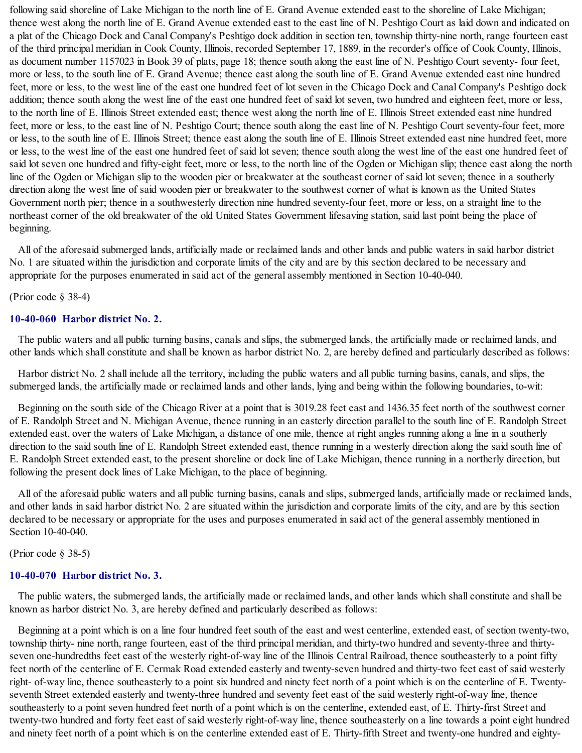following said shoreline of Lake Michigan to the north line of E. Grand Avenue extended east to the shoreline of Lake Michigan; thence west along the north line of E. Grand Avenue extended east to the east line of N. Peshtigo Court as laid down and indicated on a plat of the Chicago Dock and Canal Company's Peshtigo dock addition in section ten, township thirty-nine north, range fourteen east of the third principal meridian in Cook County, Illinois, recorded September 17, 1889, in the recorder's office of Cook County, Illinois, as document number 1157023 in Book 39 of plats, page 18; thence south along the east line of N. Peshtigo Court seventy- four feet, more or less, to the south line of E. Grand Avenue; thence east along the south line of E. Grand Avenue extended east nine hundred feet, more or less, to the west line of the east one hundred feet of lot seven in the Chicago Dock and Canal Company's Peshtigo dock addition; thence south along the west line of the east one hundred feet of said lot seven, two hundred and eighteen feet, more or less, to the north line of E. Illinois Street extended east; thence west along the north line of E. Illinois Street extended east nine hundred feet, more or less, to the east line of N. Peshtigo Court; thence south along the east line of N. Peshtigo Court seventy-four feet, more or less, to the south line of E. Illinois Street; thence east along the south line of E. Illinois Street extended east nine hundred feet, more or less, to the west line of the east one hundred feet of said lot seven; thence south along the west line of the east one hundred feet of said lot seven one hundred and fifty-eight feet, more or less, to the north line of the Ogden or Michigan slip; thence east along the north line of the Ogden or Michigan slip to the wooden pier or breakwater at the southeast corner of said lot seven; thence in a southerly direction along the west line of said wooden pier or breakwater to the southwest corner of what is known as the United States Government north pier; thence in a southwesterly direction nine hundred seventy-four feet, more or less, on a straight line to the northeast corner of the old breakwater of the old United States Government lifesaving station, said last point being the place of beginning.

All of the aforesaid submerged lands, artificially made or reclaimed lands and other lands and public waters in said harbor district No. 1 are situated within the jurisdiction and corporate limits of the city and are by this section declared to be necessary and appropriate for the purposes enumerated in said act of the general assembly mentioned in Section 10-40-040.

(Prior code § 38-4)

### **10-40-060 Harbor district No. 2.**

The public waters and all public turning basins, canals and slips, the submerged lands, the artificially made or reclaimed lands, and other lands which shall constitute and shall be known as harbor district No. 2, are hereby defined and particularly described as follows:

Harbor district No. 2 shall include all the territory, including the public waters and all public turning basins, canals, and slips, the submerged lands, the artificially made or reclaimed lands and other lands, lying and being within the following boundaries, to-wit:

Beginning on the south side of the Chicago River at a point that is 3019.28 feet east and 1436.35 feet north of the southwest corner of E. Randolph Street and N. Michigan Avenue, thence running in an easterly direction parallel to the south line of E. Randolph Street extended east, over the waters of Lake Michigan, a distance of one mile, thence at right angles running along a line in a southerly direction to the said south line of E. Randolph Street extended east, thence running in a westerly direction along the said south line of E. Randolph Street extended east, to the present shoreline or dock line of Lake Michigan, thence running in a northerly direction, but following the present dock lines of Lake Michigan, to the place of beginning.

All of the aforesaid public waters and all public turning basins, canals and slips, submerged lands, artificially made or reclaimed lands, and other lands in said harbor district No. 2 are situated within the jurisdiction and corporate limits of the city, and are by this section declared to be necessary or appropriate for the uses and purposes enumerated in said act of the general assembly mentioned in Section 10-40-040.

(Prior code § 38-5)

## **10-40-070 Harbor district No. 3.**

The public waters, the submerged lands, the artificially made or reclaimed lands, and other lands which shall constitute and shall be known as harbor district No. 3, are hereby defined and particularly described as follows:

Beginning at a point which is on a line four hundred feet south of the east and west centerline, extended east, of section twenty-two, township thirty- nine north, range fourteen, east of the third principal meridian, and thirty-two hundred and seventy-three and thirtyseven one-hundredths feet east of the westerly right-of-way line of the Illinois Central Railroad, thence southeasterly to a point fifty feet north of the centerline of E. Cermak Road extended easterly and twenty-seven hundred and thirty-two feet east of said westerly right- of-way line, thence southeasterly to a point six hundred and ninety feet north of a point which is on the centerline of E. Twentyseventh Street extended easterly and twenty-three hundred and seventy feet east of the said westerly right-of-way line, thence southeasterly to a point seven hundred feet north of a point which is on the centerline, extended east, of E. Thirty-first Street and twenty-two hundred and forty feet east of said westerly right-of-way line, thence southeasterly on a line towards a point eight hundred and ninety feet north of a point which is on the centerline extended east of E. Thirty-fifth Street and twenty-one hundred and eighty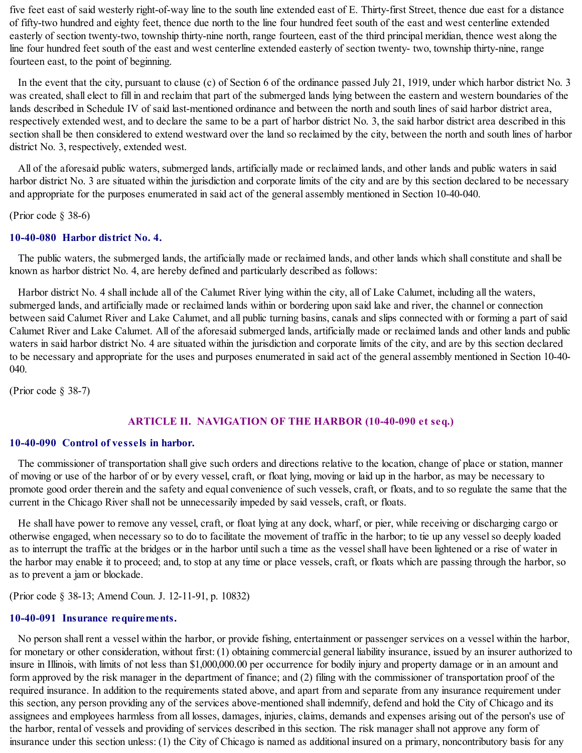five feet east of said westerly right-of-way line to the south line extended east of E. Thirty-first Street, thence due east for a distance of fifty-two hundred and eighty feet, thence due north to the line four hundred feet south of the east and west centerline extended easterly of section twenty-two, township thirty-nine north, range fourteen, east of the third principal meridian, thence west along the line four hundred feet south of the east and west centerline extended easterly of section twenty- two, township thirty-nine, range fourteen east, to the point of beginning.

In the event that the city, pursuant to clause (c) of Section 6 of the ordinance passed July 21, 1919, under which harbor district No. 3 was created, shall elect to fill in and reclaim that part of the submerged lands lying between the eastern and western boundaries of the lands described in Schedule IV of said last-mentioned ordinance and between the north and south lines of said harbor district area, respectively extended west, and to declare the same to be a part of harbor district No. 3, the said harbor district area described in this section shall be then considered to extend westward over the land so reclaimed by the city, between the north and south lines of harbor district No. 3, respectively, extended west.

All of the aforesaid public waters, submerged lands, artificially made or reclaimed lands, and other lands and public waters in said harbor district No. 3 are situated within the jurisdiction and corporate limits of the city and are by this section declared to be necessary and appropriate for the purposes enumerated in said act of the general assembly mentioned in Section 10-40-040.

(Prior code § 38-6)

## **10-40-080 Harbor district No. 4.**

The public waters, the submerged lands, the artificially made or reclaimed lands, and other lands which shall constitute and shall be known as harbor district No. 4, are hereby defined and particularly described as follows:

Harbor district No. 4 shall include all of the Calumet River lying within the city, all of Lake Calumet, including all the waters, submerged lands, and artificially made or reclaimed lands within or bordering upon said lake and river, the channel or connection between said Calumet River and Lake Calumet, and all public turning basins, canals and slips connected with or forming a part of said Calumet River and Lake Calumet. All of the aforesaid submerged lands, artificially made or reclaimed lands and other lands and public waters in said harbor district No. 4 are situated within the jurisdiction and corporate limits of the city, and are by this section declared to be necessary and appropriate for the uses and purposes enumerated in said act of the general assembly mentioned in Section 10-40- 040.

(Prior code § 38-7)

# **ARTICLE II. NAVIGATION OF THE HARBOR (10-40-090 et seq.)**

## **10-40-090 Control of vessels in harbor.**

The commissioner of transportation shall give such orders and directions relative to the location, change of place or station, manner of moving or use of the harbor of or by every vessel, craft, or float lying, moving or laid up in the harbor, as may be necessary to promote good order therein and the safety and equal convenience of such vessels, craft, or floats, and to so regulate the same that the current in the Chicago River shall not be unnecessarily impeded by said vessels, craft, or floats.

He shall have power to remove any vessel, craft, or float lying at any dock, wharf, or pier, while receiving or discharging cargo or otherwise engaged, when necessary so to do to facilitate the movement of traffic in the harbor; to tie up any vesselso deeply loaded as to interrupt the traffic at the bridges or in the harbor until such a time as the vessel shall have been lightened or a rise of water in the harbor may enable it to proceed; and, to stop at any time or place vessels, craft, or floats which are passing through the harbor, so as to prevent a jam or blockade.

(Prior code § 38-13; Amend Coun. J. 12-11-91, p. 10832)

#### **10-40-091 Insurance requirements.**

No person shall rent a vessel within the harbor, or provide fishing, entertainment or passenger services on a vessel within the harbor, for monetary or other consideration, without first: (1) obtaining commercial general liability insurance, issued by an insurer authorized to insure in Illinois, with limits of not less than \$1,000,000.00 per occurrence for bodily injury and property damage or in an amount and form approved by the risk manager in the department of finance; and (2) filing with the commissioner of transportation proof of the required insurance. In addition to the requirements stated above, and apart from and separate from any insurance requirement under this section, any person providing any of the services above-mentioned shall indemnify, defend and hold the City of Chicago and its assignees and employees harmless from all losses, damages, injuries, claims, demands and expenses arising out of the person's use of the harbor, rental of vessels and providing of services described in this section. The risk manager shall not approve any form of insurance under this section unless: (1) the City of Chicago is named as additional insured on a primary, noncontributory basis for any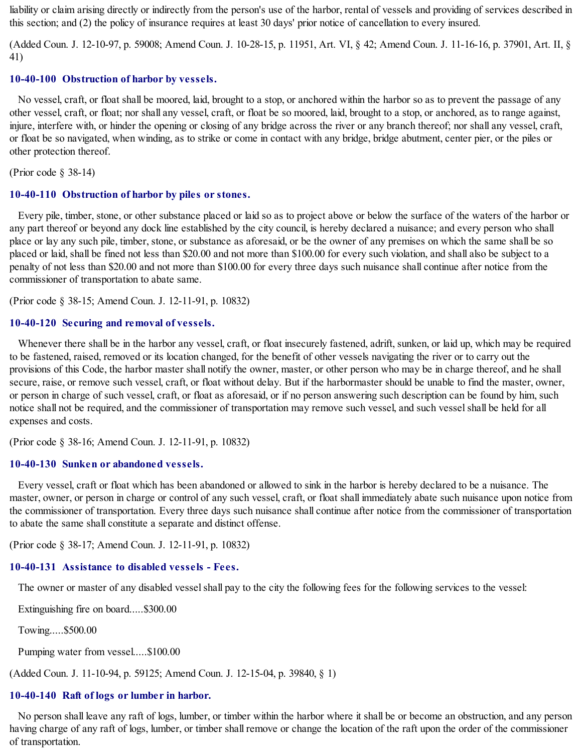liability or claim arising directly or indirectly from the person's use of the harbor, rental of vessels and providing of services described in this section; and (2) the policy of insurance requires at least 30 days' prior notice of cancellation to every insured.

(Added Coun. J. 12-10-97, p. 59008; Amend Coun. J. 10-28-15, p. 11951, Art. VI, § 42; Amend Coun. J. 11-16-16, p. 37901, Art. II, § 41)

## **10-40-100 Obstruction of harbor by vessels.**

No vessel, craft, or float shall be moored, laid, brought to a stop, or anchored within the harbor so as to prevent the passage of any other vessel, craft, or float; nor shall any vessel, craft, or float be so moored, laid, brought to a stop, or anchored, as to range against, injure, interfere with, or hinder the opening or closing of any bridge across the river or any branch thereof; nor shall any vessel, craft, or float be so navigated, when winding, as to strike or come in contact with any bridge, bridge abutment, center pier, or the piles or other protection thereof.

(Prior code § 38-14)

#### **10-40-110 Obstruction of harbor by piles or stones.**

Every pile, timber, stone, or other substance placed or laid so as to project above or below the surface of the waters of the harbor or any part thereof or beyond any dock line established by the city council, is hereby declared a nuisance; and every person who shall place or lay any such pile, timber, stone, or substance as aforesaid, or be the owner of any premises on which the same shall be so placed or laid, shall be fined not less than \$20.00 and not more than \$100.00 for every such violation, and shall also be subject to a penalty of not less than \$20.00 and not more than \$100.00 for every three days such nuisance shall continue after notice from the commissioner of transportation to abate same.

(Prior code § 38-15; Amend Coun. J. 12-11-91, p. 10832)

#### **10-40-120 Securing and removal of vessels.**

Whenever there shall be in the harbor any vessel, craft, or float insecurely fastened, adrift, sunken, or laid up, which may be required to be fastened, raised, removed or its location changed, for the benefit of other vessels navigating the river or to carry out the provisions of this Code, the harbor master shall notify the owner, master, or other person who may be in charge thereof, and he shall secure, raise, or remove such vessel, craft, or float without delay. But if the harbormaster should be unable to find the master, owner, or person in charge of such vessel, craft, or float as aforesaid, or if no person answering such description can be found by him, such notice shall not be required, and the commissioner of transportation may remove such vessel, and such vesselshall be held for all expenses and costs.

(Prior code § 38-16; Amend Coun. J. 12-11-91, p. 10832)

#### **10-40-130 Sunken or abandoned vessels.**

Every vessel, craft or float which has been abandoned or allowed to sink in the harbor is hereby declared to be a nuisance. The master, owner, or person in charge or control of any such vessel, craft, or float shall immediately abate such nuisance upon notice from the commissioner of transportation. Every three days such nuisance shall continue after notice from the commissioner of transportation to abate the same shall constitute a separate and distinct offense.

(Prior code § 38-17; Amend Coun. J. 12-11-91, p. 10832)

# **10-40-131 Assistance to disabled vessels - Fees.**

The owner or master of any disabled vessel shall pay to the city the following fees for the following services to the vessel:

Extinguishing fire on board.....\$300.00

Towing.....\$500.00

Pumping water from vessel.....\$100.00

(Added Coun. J. 11-10-94, p. 59125; Amend Coun. J. 12-15-04, p. 39840, § 1)

# **10-40-140 Raft of logs or lumber in harbor.**

No person shall leave any raft of logs, lumber, or timber within the harbor where it shall be or become an obstruction, and any person having charge of any raft of logs, lumber, or timber shall remove or change the location of the raft upon the order of the commissioner of transportation.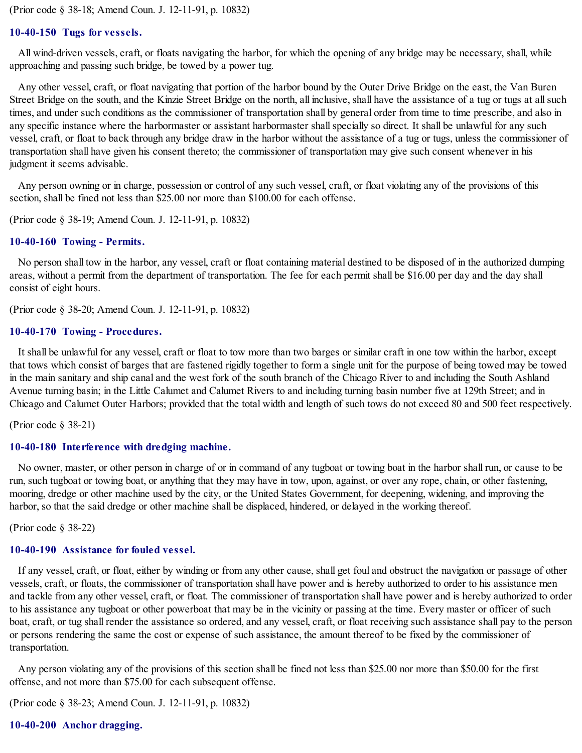(Prior code § 38-18; Amend Coun. J. 12-11-91, p. 10832)

#### **10-40-150 Tugs for vessels.**

All wind-driven vessels, craft, or floats navigating the harbor, for which the opening of any bridge may be necessary, shall, while approaching and passing such bridge, be towed by a power tug.

Any other vessel, craft, or float navigating that portion of the harbor bound by the Outer Drive Bridge on the east, the Van Buren Street Bridge on the south, and the Kinzie Street Bridge on the north, all inclusive, shall have the assistance of a tug or tugs at allsuch times, and under such conditions as the commissioner of transportation shall by general order from time to time prescribe, and also in any specific instance where the harbormaster or assistant harbormaster shall specially so direct. It shall be unlawful for any such vessel, craft, or float to back through any bridge draw in the harbor without the assistance of a tug or tugs, unless the commissioner of transportation shall have given his consent thereto; the commissioner of transportation may give such consent whenever in his judgment it seems advisable.

Any person owning or in charge, possession or control of any such vessel, craft, or float violating any of the provisions of this section, shall be fined not less than \$25.00 nor more than \$100.00 for each offense.

(Prior code § 38-19; Amend Coun. J. 12-11-91, p. 10832)

#### **10-40-160 Towing - Permits.**

No person shall tow in the harbor, any vessel, craft or float containing material destined to be disposed of in the authorized dumping areas, without a permit from the department of transportation. The fee for each permit shall be \$16.00 per day and the day shall consist of eight hours.

(Prior code § 38-20; Amend Coun. J. 12-11-91, p. 10832)

#### **10-40-170 Towing - Procedures.**

It shall be unlawful for any vessel, craft or float to tow more than two barges or similar craft in one tow within the harbor, except that tows which consist of barges that are fastened rigidly together to form a single unit for the purpose of being towed may be towed in the main sanitary and ship canal and the west fork of the south branch of the Chicago River to and including the South Ashland Avenue turning basin; in the Little Calumet and Calumet Rivers to and including turning basin number five at 129th Street; and in Chicago and Calumet Outer Harbors; provided that the total width and length of such tows do not exceed 80 and 500 feet respectively.

(Prior code § 38-21)

#### **10-40-180 Interference with dredging machine.**

No owner, master, or other person in charge of or in command of any tugboat or towing boat in the harbor shall run, or cause to be run, such tugboat or towing boat, or anything that they may have in tow, upon, against, or over any rope, chain, or other fastening, mooring, dredge or other machine used by the city, or the United States Government, for deepening, widening, and improving the harbor, so that the said dredge or other machine shall be displaced, hindered, or delayed in the working thereof.

(Prior code § 38-22)

## **10-40-190 Assistance for fouled vessel.**

If any vessel, craft, or float, either by winding or from any other cause, shall get foul and obstruct the navigation or passage of other vessels, craft, or floats, the commissioner of transportation shall have power and is hereby authorized to order to his assistance men and tackle from any other vessel, craft, or float. The commissioner of transportation shall have power and is hereby authorized to order to his assistance any tugboat or other powerboat that may be in the vicinity or passing at the time. Every master or officer of such boat, craft, or tug shall render the assistance so ordered, and any vessel, craft, or float receiving such assistance shall pay to the person or persons rendering the same the cost or expense of such assistance, the amount thereof to be fixed by the commissioner of transportation.

Any person violating any of the provisions of this section shall be fined not less than \$25.00 nor more than \$50.00 for the first offense, and not more than \$75.00 for each subsequent offense.

(Prior code § 38-23; Amend Coun. J. 12-11-91, p. 10832)

#### **10-40-200 Anchor dragging.**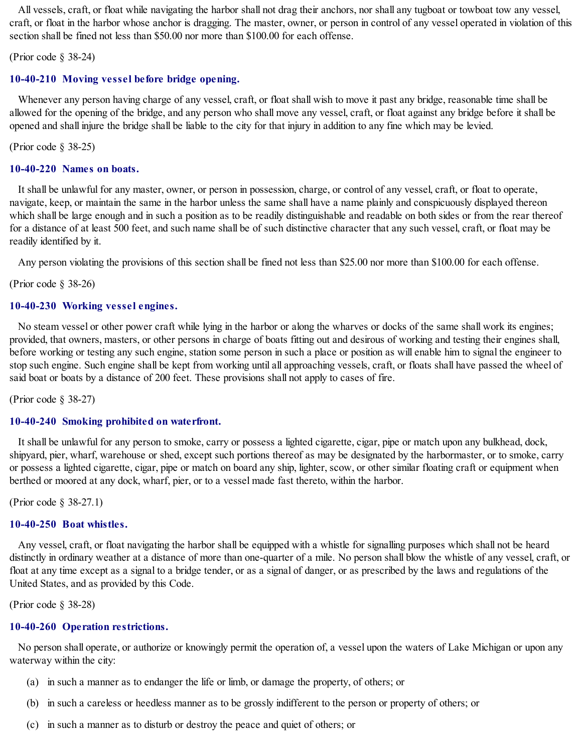All vessels, craft, or float while navigating the harbor shall not drag their anchors, nor shall any tugboat or towboat tow any vessel, craft, or float in the harbor whose anchor is dragging. The master, owner, or person in control of any vessel operated in violation of this section shall be fined not less than \$50.00 nor more than \$100.00 for each offense.

(Prior code § 38-24)

### **10-40-210 Moving vessel before bridge opening.**

Whenever any person having charge of any vessel, craft, or float shall wish to move it past any bridge, reasonable time shall be allowed for the opening of the bridge, and any person who shall move any vessel, craft, or float against any bridge before it shall be opened and shall injure the bridge shall be liable to the city for that injury in addition to any fine which may be levied.

(Prior code § 38-25)

### **10-40-220 Names on boats.**

It shall be unlawful for any master, owner, or person in possession, charge, or control of any vessel, craft, or float to operate, navigate, keep, or maintain the same in the harbor unless the same shall have a name plainly and conspicuously displayed thereon which shall be large enough and in such a position as to be readily distinguishable and readable on both sides or from the rear thereof for a distance of at least 500 feet, and such name shall be of such distinctive character that any such vessel, craft, or float may be readily identified by it.

Any person violating the provisions of this section shall be fined not less than \$25.00 nor more than \$100.00 for each offense.

(Prior code § 38-26)

### **10-40-230 Working vessel engines.**

No steam vessel or other power craft while lying in the harbor or along the wharves or docks of the same shall work its engines; provided, that owners, masters, or other persons in charge of boats fitting out and desirous of working and testing their engines shall, before working or testing any such engine, station some person in such a place or position as will enable him to signal the engineer to stop such engine. Such engine shall be kept from working until all approaching vessels, craft, or floats shall have passed the wheel of said boat or boats by a distance of 200 feet. These provisions shall not apply to cases of fire.

(Prior code § 38-27)

## **10-40-240 Smoking prohibited on waterfront.**

It shall be unlawful for any person to smoke, carry or possess a lighted cigarette, cigar, pipe or match upon any bulkhead, dock, shipyard, pier, wharf, warehouse or shed, except such portions thereof as may be designated by the harbormaster, or to smoke, carry or possess a lighted cigarette, cigar, pipe or match on board any ship, lighter, scow, or other similar floating craft or equipment when berthed or moored at any dock, wharf, pier, or to a vessel made fast thereto, within the harbor.

(Prior code § 38-27.1)

#### **10-40-250 Boat whistles.**

Any vessel, craft, or float navigating the harbor shall be equipped with a whistle for signalling purposes which shall not be heard distinctly in ordinary weather at a distance of more than one-quarter of a mile. No person shall blow the whistle of any vessel, craft, or float at any time except as a signal to a bridge tender, or as a signal of danger, or as prescribed by the laws and regulations of the United States, and as provided by this Code.

(Prior code § 38-28)

## **10-40-260 Operation restrictions.**

No person shall operate, or authorize or knowingly permit the operation of, a vessel upon the waters of Lake Michigan or upon any waterway within the city:

- (a) in such a manner as to endanger the life or limb, or damage the property, of others; or
- (b) in such a careless or heedless manner as to be grossly indifferent to the person or property of others; or
- (c) in such a manner as to disturb or destroy the peace and quiet of others; or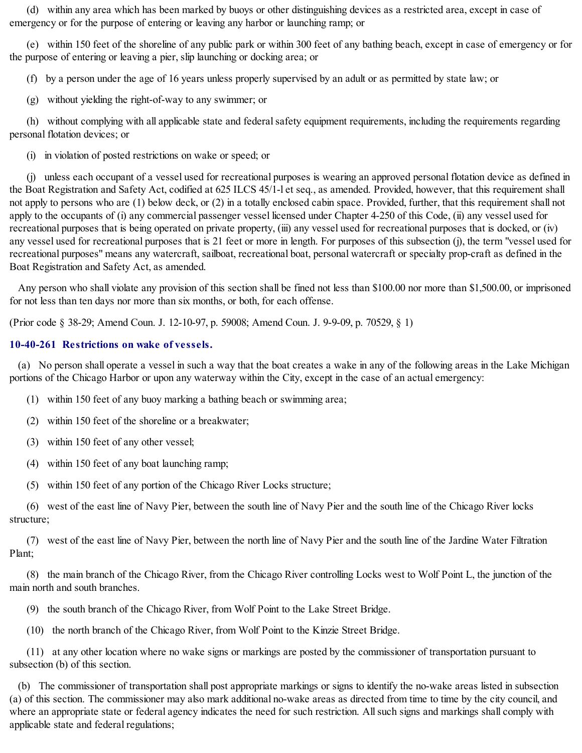(d) within any area which has been marked by buoys or other distinguishing devices as a restricted area, except in case of emergency or for the purpose of entering or leaving any harbor or launching ramp; or

(e) within 150 feet of the shoreline of any public park or within 300 feet of any bathing beach, except in case of emergency or for the purpose of entering or leaving a pier, slip launching or docking area; or

(f) by a person under the age of 16 years unless properly supervised by an adult or as permitted by state law; or

(g) without yielding the right-of-way to any swimmer; or

(h) without complying with all applicable state and federal safety equipment requirements, including the requirements regarding personal flotation devices; or

(i) in violation of posted restrictions on wake or speed; or

(j) unless each occupant of a vessel used for recreational purposes is wearing an approved personal flotation device as defined in the Boat Registration and Safety Act, codified at 625 ILCS 45/1-l et seq., as amended. Provided, however, that this requirement shall not apply to persons who are (1) below deck, or (2) in a totally enclosed cabin space. Provided, further, that this requirement shall not apply to the occupants of (i) any commercial passenger vessel licensed under Chapter 4-250 of this Code, (ii) any vessel used for recreational purposes that is being operated on private property, (iii) any vessel used for recreational purposes that is docked, or (iv) any vessel used for recreational purposes that is 21 feet or more in length. For purposes of this subsection (j), the term "vessel used for recreational purposes" means any watercraft, sailboat, recreational boat, personal watercraft or specialty prop-craft as defined in the Boat Registration and Safety Act, as amended.

Any person who shall violate any provision of this section shall be fined not less than \$100.00 nor more than \$1,500.00, or imprisoned for not less than ten days nor more than six months, or both, for each offense.

(Prior code § 38-29; Amend Coun. J. 12-10-97, p. 59008; Amend Coun. J. 9-9-09, p. 70529, § 1)

# **10-40-261 Restrictions on wake of vessels.**

(a) No person shall operate a vessel in such a way that the boat creates a wake in any of the following areas in the Lake Michigan portions of the Chicago Harbor or upon any waterway within the City, except in the case of an actual emergency:

- (1) within 150 feet of any buoy marking a bathing beach or swimming area;
- (2) within 150 feet of the shoreline or a breakwater;
- (3) within 150 feet of any other vessel;
- (4) within 150 feet of any boat launching ramp;
- (5) within 150 feet of any portion of the Chicago River Locks structure;

(6) west of the east line of Navy Pier, between the south line of Navy Pier and the south line of the Chicago River locks structure;

(7) west of the east line of Navy Pier, between the north line of Navy Pier and the south line of the Jardine Water Filtration Plant;

(8) the main branch of the Chicago River, from the Chicago River controlling Locks west to Wolf Point L, the junction of the main north and south branches.

(9) the south branch of the Chicago River, from Wolf Point to the Lake Street Bridge.

(10) the north branch of the Chicago River, from Wolf Point to the Kinzie Street Bridge.

(11) at any other location where no wake signs or markings are posted by the commissioner of transportation pursuant to subsection (b) of this section.

(b) The commissioner of transportation shall post appropriate markings or signs to identify the no-wake areas listed in subsection (a) of this section. The commissioner may also mark additional no-wake areas as directed from time to time by the city council, and where an appropriate state or federal agency indicates the need for such restriction. All such signs and markings shall comply with applicable state and federal regulations;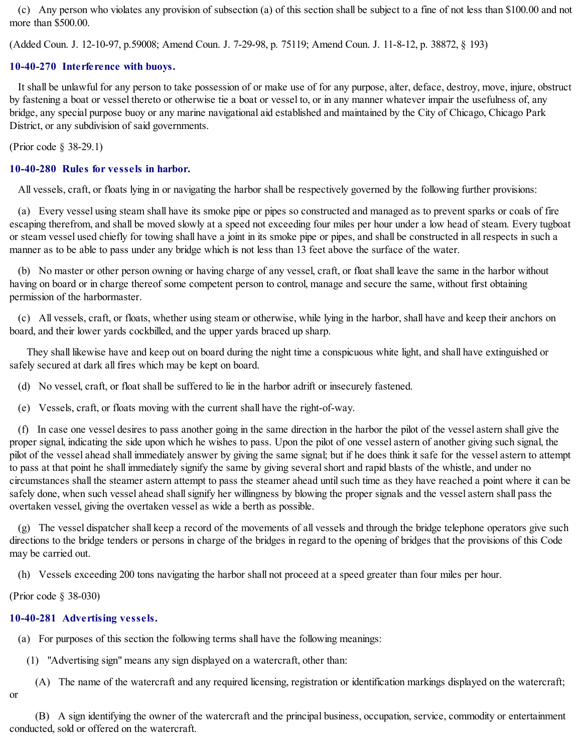(c) Any person who violates any provision of subsection (a) of this section shall be subject to a fine of not less than \$100.00 and not more than \$500.00.

(Added Coun. J. 12-10-97, p.59008; Amend Coun. J. 7-29-98, p. 75119; Amend Coun. J. 11-8-12, p. 38872, § 193)

## **10-40-270 Interference with buoys.**

It shall be unlawful for any person to take possession of or make use of for any purpose, alter, deface, destroy, move, injure, obstruct by fastening a boat or vessel thereto or otherwise tie a boat or vessel to, or in any manner whatever impair the usefulness of, any bridge, any special purpose buoy or any marine navigational aid established and maintained by the City of Chicago, Chicago Park District, or any subdivision of said governments.

(Prior code § 38-29.1)

## **10-40-280 Rules for vessels in harbor.**

All vessels, craft, or floats lying in or navigating the harbor shall be respectively governed by the following further provisions:

(a) Every vessel using steam shall have its smoke pipe or pipes so constructed and managed as to prevent sparks or coals of fire escaping therefrom, and shall be moved slowly at a speed not exceeding four miles per hour under a low head of steam. Every tugboat or steam vessel used chiefly for towing shall have a joint in its smoke pipe or pipes, and shall be constructed in all respects in such a manner as to be able to pass under any bridge which is not less than 13 feet above the surface of the water.

(b) No master or other person owning or having charge of any vessel, craft, or float shall leave the same in the harbor without having on board or in charge thereof some competent person to control, manage and secure the same, without first obtaining permission of the harbormaster.

(c) All vessels, craft, or floats, whether using steam or otherwise, while lying in the harbor, shall have and keep their anchors on board, and their lower yards cockbilled, and the upper yards braced up sharp.

They shall likewise have and keep out on board during the night time a conspicuous white light, and shall have extinguished or safely secured at dark all fires which may be kept on board.

(d) No vessel, craft, or float shall be suffered to lie in the harbor adrift or insecurely fastened.

(e) Vessels, craft, or floats moving with the current shall have the right-of-way.

(f) In case one vessel desires to pass another going in the same direction in the harbor the pilot of the vessel astern shall give the proper signal, indicating the side upon which he wishes to pass. Upon the pilot of one vessel astern of another giving such signal, the pilot of the vessel ahead shall immediately answer by giving the same signal; but if he does think it safe for the vessel astern to attempt to pass at that point he shall immediately signify the same by giving several short and rapid blasts of the whistle, and under no circumstances shall the steamer astern attempt to pass the steamer ahead untilsuch time as they have reached a point where it can be safely done, when such vessel ahead shall signify her willingness by blowing the proper signals and the vessel astern shall pass the overtaken vessel, giving the overtaken vessel as wide a berth as possible.

(g) The vessel dispatcher shall keep a record of the movements of all vessels and through the bridge telephone operators give such directions to the bridge tenders or persons in charge of the bridges in regard to the opening of bridges that the provisions of this Code may be carried out.

(h) Vessels exceeding 200 tons navigating the harbor shall not proceed at a speed greater than four miles per hour.

(Prior code § 38-030)

# **10-40-281 Advertising vessels.**

(a) For purposes of this section the following terms shall have the following meanings:

(1) "Advertising sign" means any sign displayed on a watercraft, other than:

(A) The name of the watercraft and any required licensing, registration or identification markings displayed on the watercraft;

or

(B) A sign identifying the owner of the watercraft and the principal business, occupation, service, commodity or entertainment conducted, sold or offered on the watercraft.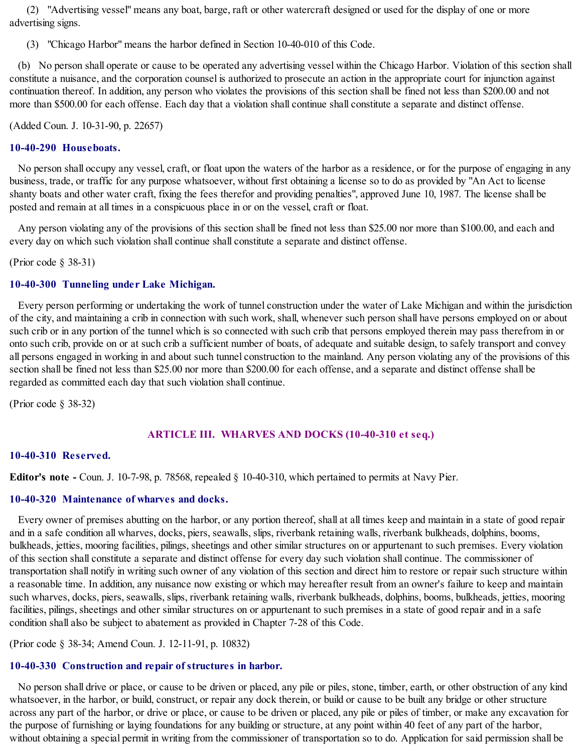(2) "Advertising vessel" means any boat, barge, raft or other watercraft designed or used for the display of one or more advertising signs.

(3) "Chicago Harbor" means the harbor defined in Section 10-40-010 of this Code.

(b) No person shall operate or cause to be operated any advertising vessel within the Chicago Harbor. Violation of this section shall constitute a nuisance, and the corporation counsel is authorized to prosecute an action in the appropriate court for injunction against continuation thereof. In addition, any person who violates the provisions of this section shall be fined not less than \$200.00 and not more than \$500.00 for each offense. Each day that a violation shall continue shall constitute a separate and distinct offense.

(Added Coun. J. 10-31-90, p. 22657)

## **10-40-290 Houseboats.**

No person shall occupy any vessel, craft, or float upon the waters of the harbor as a residence, or for the purpose of engaging in any business, trade, or traffic for any purpose whatsoever, without first obtaining a license so to do as provided by "An Act to license shanty boats and other water craft, fixing the fees therefor and providing penalties", approved June 10, 1987. The license shall be posted and remain at all times in a conspicuous place in or on the vessel, craft or float.

Any person violating any of the provisions of this section shall be fined not less than \$25.00 nor more than \$100.00, and each and every day on which such violation shall continue shall constitute a separate and distinct offense.

(Prior code § 38-31)

## **10-40-300 Tunneling under Lake Michigan.**

Every person performing or undertaking the work of tunnel construction under the water of Lake Michigan and within the jurisdiction of the city, and maintaining a crib in connection with such work, shall, whenever such person shall have persons employed on or about such crib or in any portion of the tunnel which is so connected with such crib that persons employed therein may pass therefrom in or onto such crib, provide on or at such crib a sufficient number of boats, of adequate and suitable design, to safely transport and convey all persons engaged in working in and about such tunnel construction to the mainland. Any person violating any of the provisions of this section shall be fined not less than \$25.00 nor more than \$200.00 for each offense, and a separate and distinct offense shall be regarded as committed each day that such violation shall continue.

(Prior code § 38-32)

# **ARTICLE III. WHARVES AND DOCKS (10-40-310 et seq.)**

## **10-40-310 Reserved.**

**Editor's note -** Coun. J. 10-7-98, p. 78568, repealed § 10-40-310, which pertained to permits at Navy Pier.

## **10-40-320 Maintenance of wharves and docks.**

Every owner of premises abutting on the harbor, or any portion thereof, shall at all times keep and maintain in a state of good repair and in a safe condition all wharves, docks, piers, seawalls, slips, riverbank retaining walls, riverbank bulkheads, dolphins, booms, bulkheads, jetties, mooring facilities, pilings, sheetings and other similar structures on or appurtenant to such premises. Every violation of this section shall constitute a separate and distinct offense for every day such violation shall continue. The commissioner of transportation shall notify in writing such owner of any violation of this section and direct him to restore or repair such structure within a reasonable time. In addition, any nuisance now existing or which may hereafter result from an owner's failure to keep and maintain such wharves, docks, piers, seawalls, slips, riverbank retaining walls, riverbank bulkheads, dolphins, booms, bulkheads, jetties, mooring facilities, pilings, sheetings and other similar structures on or appurtenant to such premises in a state of good repair and in a safe condition shall also be subject to abatement as provided in Chapter 7-28 of this Code.

(Prior code § 38-34; Amend Coun. J. 12-11-91, p. 10832)

## **10-40-330 Construction and repair of structures in harbor.**

No person shall drive or place, or cause to be driven or placed, any pile or piles, stone, timber, earth, or other obstruction of any kind whatsoever, in the harbor, or build, construct, or repair any dock therein, or build or cause to be built any bridge or other structure across any part of the harbor, or drive or place, or cause to be driven or placed, any pile or piles of timber, or make any excavation for the purpose of furnishing or laying foundations for any building or structure, at any point within 40 feet of any part of the harbor, without obtaining a special permit in writing from the commissioner of transportation so to do. Application for said permission shall be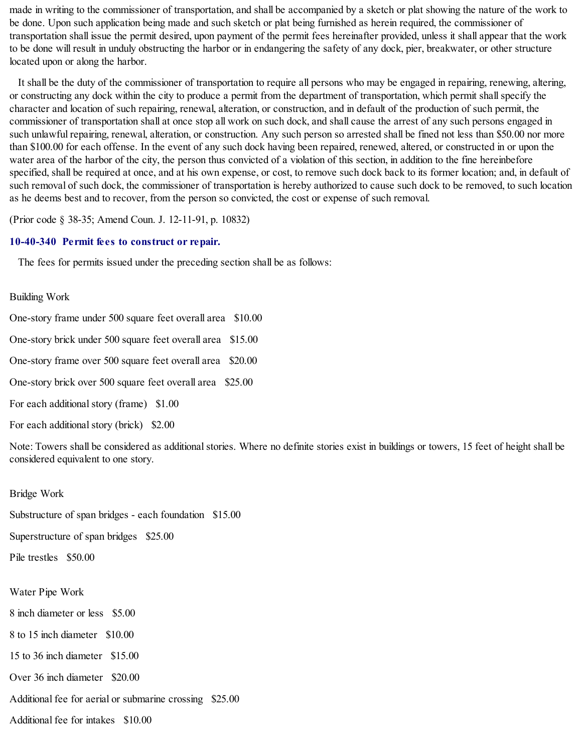made in writing to the commissioner of transportation, and shall be accompanied by a sketch or plat showing the nature of the work to be done. Upon such application being made and such sketch or plat being furnished as herein required, the commissioner of transportation shall issue the permit desired, upon payment of the permit fees hereinafter provided, unless it shall appear that the work to be done will result in unduly obstructing the harbor or in endangering the safety of any dock, pier, breakwater, or other structure located upon or along the harbor.

It shall be the duty of the commissioner of transportation to require all persons who may be engaged in repairing, renewing, altering, or constructing any dock within the city to produce a permit from the department of transportation, which permit shall specify the character and location of such repairing, renewal, alteration, or construction, and in default of the production of such permit, the commissioner of transportation shall at once stop all work on such dock, and shall cause the arrest of any such persons engaged in such unlawful repairing, renewal, alteration, or construction. Any such person so arrested shall be fined not less than \$50.00 nor more than \$100.00 for each offense. In the event of any such dock having been repaired, renewed, altered, or constructed in or upon the water area of the harbor of the city, the person thus convicted of a violation of this section, in addition to the fine hereinbefore specified, shall be required at once, and at his own expense, or cost, to remove such dock back to its former location; and, in default of such removal of such dock, the commissioner of transportation is hereby authorized to cause such dock to be removed, to such location as he deems best and to recover, from the person so convicted, the cost or expense of such removal.

(Prior code § 38-35; Amend Coun. J. 12-11-91, p. 10832)

## **10-40-340 Permit fees to construct or repair.**

The fees for permits issued under the preceding section shall be as follows:

### Building Work

One-story frame under 500 square feet overall area \$10.00

One-story brick under 500 square feet overall area \$15.00

One-story frame over 500 square feet overall area \$20.00

One-story brick over 500 square feet overall area \$25.00

For each additional story (frame) \$1.00

For each additional story (brick) \$2.00

Note: Towers shall be considered as additional stories. Where no definite stories exist in buildings or towers, 15 feet of height shall be considered equivalent to one story.

Bridge Work

Substructure of span bridges - each foundation \$15.00

Superstructure of span bridges \$25.00

Pile trestles \$50.00

Water Pipe Work

8 inch diameter or less \$5.00

8 to 15 inch diameter \$10.00

15 to 36 inch diameter \$15.00

Over 36 inch diameter \$20.00

Additional fee for aerial or submarine crossing \$25.00

Additional fee for intakes \$10.00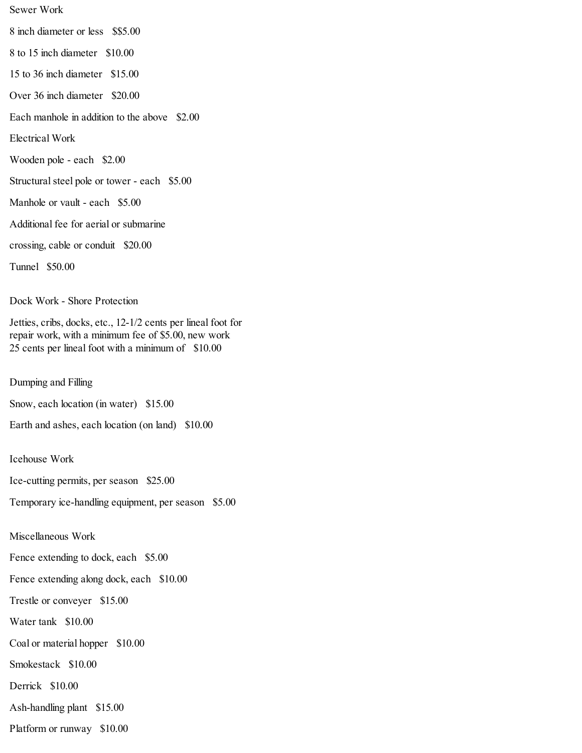Sewer Work 8 inch diameter or less \$\$5.00 8 to 15 inch diameter \$10.00 15 to 36 inch diameter \$15.00 Over 36 inch diameter \$20.00 Each manhole in addition to the above \$2.00 Electrical Work Wooden pole - each \$2.00 Structural steel pole or tower - each \$5.00 Manhole or vault - each \$5.00 Additional fee for aerial or submarine crossing, cable or conduit \$20.00 Tunnel \$50.00

Dock Work - Shore Protection

Jetties, cribs, docks, etc., 12-1/2 cents per lineal foot for repair work, with a minimum fee of \$5.00, new work 25 cents per lineal foot with a minimum of \$10.00

Dumping and Filling

Snow, each location (in water) \$15.00

Earth and ashes, each location (on land) \$10.00

Icehouse Work

Ice-cutting permits, per season \$25.00

Temporary ice-handling equipment, per season \$5.00

Miscellaneous Work

Fence extending to dock, each \$5.00

Fence extending along dock, each \$10.00

Trestle or conveyer \$15.00

Water tank \$10.00

Coal or material hopper \$10.00

Smokestack \$10.00

Derrick \$10.00

Ash-handling plant \$15.00

Platform or runway \$10.00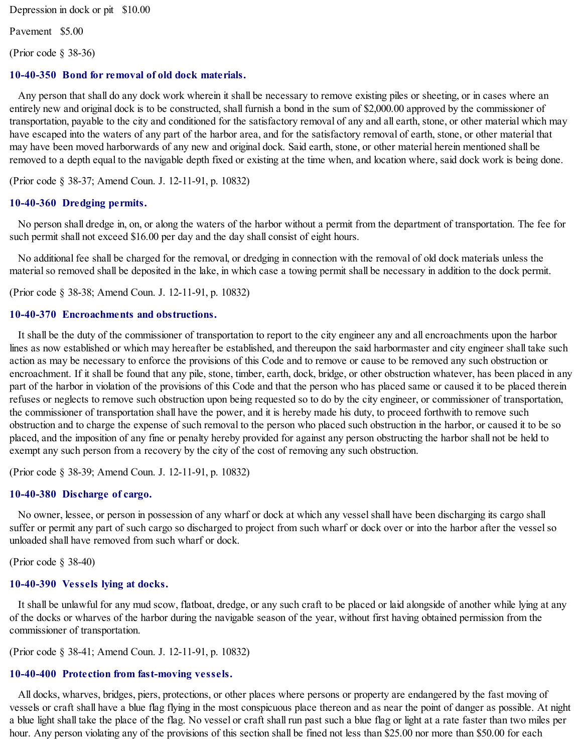Depression in dock or pit \$10.00

Pavement \$5.00

(Prior code § 38-36)

#### **10-40-350 Bond for removal of old dock materials.**

Any person that shall do any dock work wherein it shall be necessary to remove existing piles or sheeting, or in cases where an entirely new and original dock is to be constructed, shall furnish a bond in the sum of \$2,000.00 approved by the commissioner of transportation, payable to the city and conditioned for the satisfactory removal of any and all earth, stone, or other material which may have escaped into the waters of any part of the harbor area, and for the satisfactory removal of earth, stone, or other material that may have been moved harborwards of any new and original dock. Said earth, stone, or other material herein mentioned shall be removed to a depth equal to the navigable depth fixed or existing at the time when, and location where, said dock work is being done.

(Prior code § 38-37; Amend Coun. J. 12-11-91, p. 10832)

#### **10-40-360 Dredging permits.**

No person shall dredge in, on, or along the waters of the harbor without a permit from the department of transportation. The fee for such permit shall not exceed \$16.00 per day and the day shall consist of eight hours.

No additional fee shall be charged for the removal, or dredging in connection with the removal of old dock materials unless the material so removed shall be deposited in the lake, in which case a towing permit shall be necessary in addition to the dock permit.

(Prior code § 38-38; Amend Coun. J. 12-11-91, p. 10832)

#### **10-40-370 Encroachments and obstructions.**

It shall be the duty of the commissioner of transportation to report to the city engineer any and all encroachments upon the harbor lines as now established or which may hereafter be established, and thereupon the said harbormaster and city engineer shall take such action as may be necessary to enforce the provisions of this Code and to remove or cause to be removed any such obstruction or encroachment. If it shall be found that any pile, stone, timber, earth, dock, bridge, or other obstruction whatever, has been placed in any part of the harbor in violation of the provisions of this Code and that the person who has placed same or caused it to be placed therein refuses or neglects to remove such obstruction upon being requested so to do by the city engineer, or commissioner of transportation, the commissioner of transportation shall have the power, and it is hereby made his duty, to proceed forthwith to remove such obstruction and to charge the expense of such removal to the person who placed such obstruction in the harbor, or caused it to be so placed, and the imposition of any fine or penalty hereby provided for against any person obstructing the harbor shall not be held to exempt any such person from a recovery by the city of the cost of removing any such obstruction.

(Prior code § 38-39; Amend Coun. J. 12-11-91, p. 10832)

#### **10-40-380 Discharge of cargo.**

No owner, lessee, or person in possession of any wharf or dock at which any vesselshall have been discharging its cargo shall suffer or permit any part of such cargo so discharged to project from such wharf or dock over or into the harbor after the vesselso unloaded shall have removed from such wharf or dock.

(Prior code § 38-40)

#### **10-40-390 Vessels lying at docks.**

It shall be unlawful for any mud scow, flatboat, dredge, or any such craft to be placed or laid alongside of another while lying at any of the docks or wharves of the harbor during the navigable season of the year, without first having obtained permission from the commissioner of transportation.

(Prior code § 38-41; Amend Coun. J. 12-11-91, p. 10832)

#### **10-40-400 Protection from fast-moving vessels.**

All docks, wharves, bridges, piers, protections, or other places where persons or property are endangered by the fast moving of vessels or craft shall have a blue flag flying in the most conspicuous place thereon and as near the point of danger as possible. At night a blue light shall take the place of the flag. No vessel or craft shall run past such a blue flag or light at a rate faster than two miles per hour. Any person violating any of the provisions of this section shall be fined not less than \$25.00 nor more than \$50.00 for each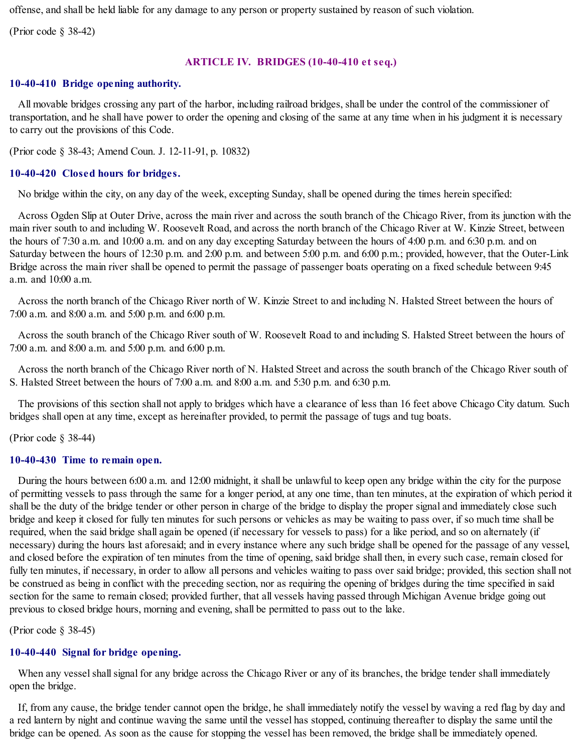offense, and shall be held liable for any damage to any person or property sustained by reason of such violation.

(Prior code § 38-42)

## **ARTICLE IV. BRIDGES (10-40-410 et seq.)**

## **10-40-410 Bridge opening authority.**

All movable bridges crossing any part of the harbor, including railroad bridges, shall be under the control of the commissioner of transportation, and he shall have power to order the opening and closing of the same at any time when in his judgment it is necessary to carry out the provisions of this Code.

(Prior code § 38-43; Amend Coun. J. 12-11-91, p. 10832)

## **10-40-420 Closed hours for bridges.**

No bridge within the city, on any day of the week, excepting Sunday, shall be opened during the times herein specified:

Across Ogden Slip at Outer Drive, across the main river and across the south branch of the Chicago River, from its junction with the main river south to and including W. Roosevelt Road, and across the north branch of the Chicago River at W. Kinzie Street, between the hours of 7:30 a.m. and 10:00 a.m. and on any day excepting Saturday between the hours of 4:00 p.m. and 6:30 p.m. and on Saturday between the hours of 12:30 p.m. and 2:00 p.m. and between 5:00 p.m. and 6:00 p.m.; provided, however, that the Outer-Link Bridge across the main river shall be opened to permit the passage of passenger boats operating on a fixed schedule between 9:45 a.m. and  $10:00$  a.m.

Across the north branch of the Chicago River north of W. Kinzie Street to and including N. Halsted Street between the hours of 7:00 a.m. and 8:00 a.m. and 5:00 p.m. and 6:00 p.m.

Across the south branch of the Chicago River south of W. Roosevelt Road to and including S. Halsted Street between the hours of 7:00 a.m. and 8:00 a.m. and 5:00 p.m. and 6:00 p.m.

Across the north branch of the Chicago River north of N. Halsted Street and across the south branch of the Chicago River south of S. Halsted Street between the hours of 7:00 a.m. and 8:00 a.m. and 5:30 p.m. and 6:30 p.m.

The provisions of this section shall not apply to bridges which have a clearance of less than 16 feet above Chicago City datum. Such bridges shall open at any time, except as hereinafter provided, to permit the passage of tugs and tug boats.

(Prior code § 38-44)

## **10-40-430 Time to remain open.**

During the hours between 6:00 a.m. and 12:00 midnight, it shall be unlawful to keep open any bridge within the city for the purpose of permitting vessels to pass through the same for a longer period, at any one time, than ten minutes, at the expiration of which period it shall be the duty of the bridge tender or other person in charge of the bridge to display the proper signal and immediately close such bridge and keep it closed for fully ten minutes for such persons or vehicles as may be waiting to pass over, if so much time shall be required, when the said bridge shall again be opened (if necessary for vessels to pass) for a like period, and so on alternately (if necessary) during the hours last aforesaid; and in every instance where any such bridge shall be opened for the passage of any vessel, and closed before the expiration of ten minutes from the time of opening, said bridge shall then, in every such case, remain closed for fully ten minutes, if necessary, in order to allow all persons and vehicles waiting to pass over said bridge; provided, this section shall not be construed as being in conflict with the preceding section, nor as requiring the opening of bridges during the time specified in said section for the same to remain closed; provided further, that all vessels having passed through Michigan Avenue bridge going out previous to closed bridge hours, morning and evening, shall be permitted to pass out to the lake.

(Prior code § 38-45)

# **10-40-440 Signal for bridge opening.**

When any vessel shall signal for any bridge across the Chicago River or any of its branches, the bridge tender shall immediately open the bridge.

If, from any cause, the bridge tender cannot open the bridge, he shall immediately notify the vessel by waving a red flag by day and a red lantern by night and continue waving the same until the vessel has stopped, continuing thereafter to display the same until the bridge can be opened. As soon as the cause for stopping the vessel has been removed, the bridge shall be immediately opened.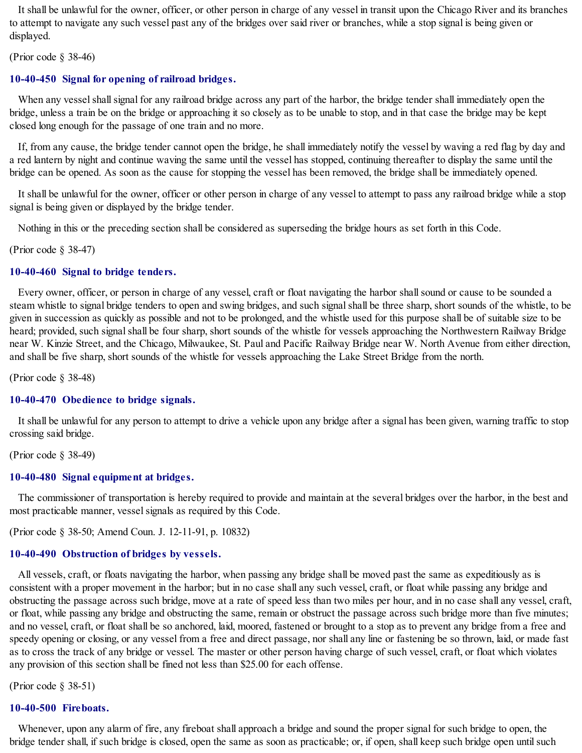It shall be unlawful for the owner, officer, or other person in charge of any vessel in transit upon the Chicago River and its branches to attempt to navigate any such vessel past any of the bridges over said river or branches, while a stop signal is being given or displayed.

(Prior code § 38-46)

## **10-40-450 Signal for opening of railroad bridges.**

When any vessel shall signal for any railroad bridge across any part of the harbor, the bridge tender shall immediately open the bridge, unless a train be on the bridge or approaching it so closely as to be unable to stop, and in that case the bridge may be kept closed long enough for the passage of one train and no more.

If, from any cause, the bridge tender cannot open the bridge, he shall immediately notify the vessel by waving a red flag by day and a red lantern by night and continue waving the same until the vessel has stopped, continuing thereafter to display the same until the bridge can be opened. As soon as the cause for stopping the vessel has been removed, the bridge shall be immediately opened.

It shall be unlawful for the owner, officer or other person in charge of any vessel to attempt to pass any railroad bridge while a stop signal is being given or displayed by the bridge tender.

Nothing in this or the preceding section shall be considered as superseding the bridge hours as set forth in this Code.

(Prior code § 38-47)

## **10-40-460 Signal to bridge tenders.**

Every owner, officer, or person in charge of any vessel, craft or float navigating the harbor shallsound or cause to be sounded a steam whistle to signal bridge tenders to open and swing bridges, and such signal shall be three sharp, short sounds of the whistle, to be given in succession as quickly as possible and not to be prolonged, and the whistle used for this purpose shall be of suitable size to be heard; provided, such signal shall be four sharp, short sounds of the whistle for vessels approaching the Northwestern Railway Bridge near W. Kinzie Street, and the Chicago, Milwaukee, St. Paul and Pacific Railway Bridge near W. North Avenue from either direction, and shall be five sharp, short sounds of the whistle for vessels approaching the Lake Street Bridge from the north.

(Prior code § 38-48)

#### **10-40-470 Obedience to bridge signals.**

It shall be unlawful for any person to attempt to drive a vehicle upon any bridge after a signal has been given, warning traffic to stop crossing said bridge.

(Prior code § 38-49)

## **10-40-480 Signal equipment at bridges.**

The commissioner of transportation is hereby required to provide and maintain at the several bridges over the harbor, in the best and most practicable manner, vesselsignals as required by this Code.

(Prior code § 38-50; Amend Coun. J. 12-11-91, p. 10832)

## **10-40-490 Obstruction of bridges by vessels.**

All vessels, craft, or floats navigating the harbor, when passing any bridge shall be moved past the same as expeditiously as is consistent with a proper movement in the harbor; but in no case shall any such vessel, craft, or float while passing any bridge and obstructing the passage across such bridge, move at a rate of speed less than two miles per hour, and in no case shall any vessel, craft, or float, while passing any bridge and obstructing the same, remain or obstruct the passage across such bridge more than five minutes; and no vessel, craft, or float shall be so anchored, laid, moored, fastened or brought to a stop as to prevent any bridge from a free and speedy opening or closing, or any vessel from a free and direct passage, nor shall any line or fastening be so thrown, laid, or made fast as to cross the track of any bridge or vessel. The master or other person having charge of such vessel, craft, or float which violates any provision of this section shall be fined not less than \$25.00 for each offense.

(Prior code § 38-51)

#### **10-40-500 Fireboats.**

Whenever, upon any alarm of fire, any fireboat shall approach a bridge and sound the proper signal for such bridge to open, the bridge tender shall, if such bridge is closed, open the same as soon as practicable; or, if open, shall keep such bridge open untilsuch